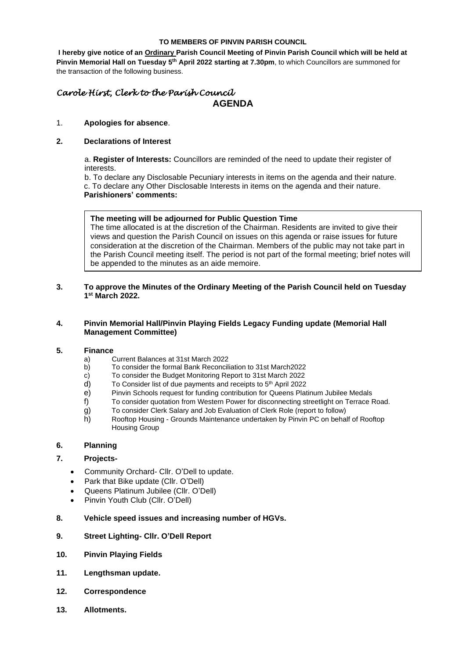### **TO MEMBERS OF PINVIN PARISH COUNCIL**

**I hereby give notice of an Ordinary Parish Council Meeting of Pinvin Parish Council which will be held at Pinvin Memorial Hall on Tuesday 5 th April 2022 starting at 7.30pm**, to which Councillors are summoned for the transaction of the following business.

# *Carole Hirst, Clerk to the Parish Council* **AGENDA**

## 1. **Apologies for absence**.

## **2. Declarations of Interest**

a. **Register of Interests:** Councillors are reminded of the need to update their register of interests.

b. To declare any Disclosable Pecuniary interests in items on the agenda and their nature. c. To declare any Other Disclosable Interests in items on the agenda and their nature.

#### **Parishioners' comments:**

## **The meeting will be adjourned for Public Question Time**

The time allocated is at the discretion of the Chairman. Residents are invited to give their views and question the Parish Council on issues on this agenda or raise issues for future consideration at the discretion of the Chairman. Members of the public may not take part in the Parish Council meeting itself. The period is not part of the formal meeting; brief notes will be appended to the minutes as an aide memoire.

## **3. To approve the Minutes of the Ordinary Meeting of the Parish Council held on Tuesday 1 st March 2022.**

## **4. Pinvin Memorial Hall/Pinvin Playing Fields Legacy Funding update (Memorial Hall Management Committee)**

## **5. Finance**

- a) Current Balances at 31st March 2022
- b) To consider the formal Bank Reconciliation to 31st March2022
- c) To consider the Budget Monitoring Report to 31st March 2022
- d) To Consider list of due payments and receipts to 5<sup>th</sup> April 2022
- e) Pinvin Schools request for funding contribution for Queens Platinum Jubilee Medals
- f) To consider quotation from Western Power for disconnecting streetlight on Terrace Road.
- g) To consider Clerk Salary and Job Evaluation of Clerk Role (report to follow)
- h) Rooftop Housing Grounds Maintenance undertaken by Pinvin PC on behalf of Rooftop Housing Group

## **6. Planning**

## **7. Projects-**

- Community Orchard- Cllr. O'Dell to update.
- Park that Bike update (Cllr. O'Dell)
- Queens Platinum Jubilee (Cllr. O'Dell)
- Pinvin Youth Club (Cllr. O'Dell)

## **8. Vehicle speed issues and increasing number of HGVs.**

## **9. Street Lighting- Cllr. O'Dell Report**

- **10. Pinvin Playing Fields**
- **11. Lengthsman update.**
- **12. Correspondence**
- **13. Allotments.**